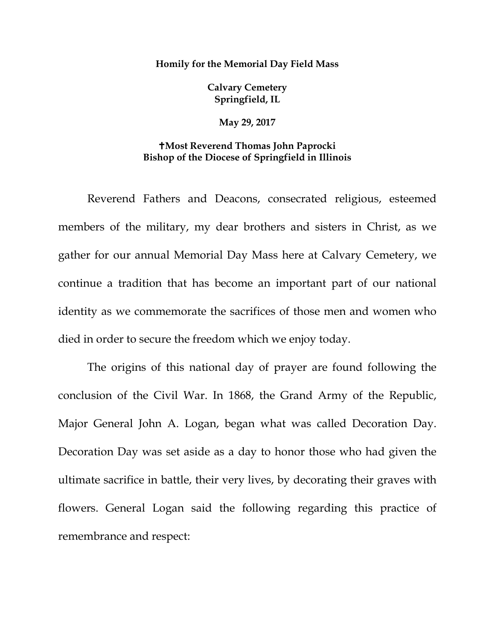## **Homily for the Memorial Day Field Mass**

**Calvary Cemetery Springfield, IL** 

**May 29, 2017**

## **Most Reverend Thomas John Paprocki Bishop of the Diocese of Springfield in Illinois**

Reverend Fathers and Deacons, consecrated religious, esteemed members of the military, my dear brothers and sisters in Christ, as we gather for our annual Memorial Day Mass here at Calvary Cemetery, we continue a tradition that has become an important part of our national identity as we commemorate the sacrifices of those men and women who died in order to secure the freedom which we enjoy today.

The origins of this national day of prayer are found following the conclusion of the Civil War. In 1868, the Grand Army of the Republic, Major General John A. Logan, began what was called Decoration Day. Decoration Day was set aside as a day to honor those who had given the ultimate sacrifice in battle, their very lives, by decorating their graves with flowers. General Logan said the following regarding this practice of remembrance and respect: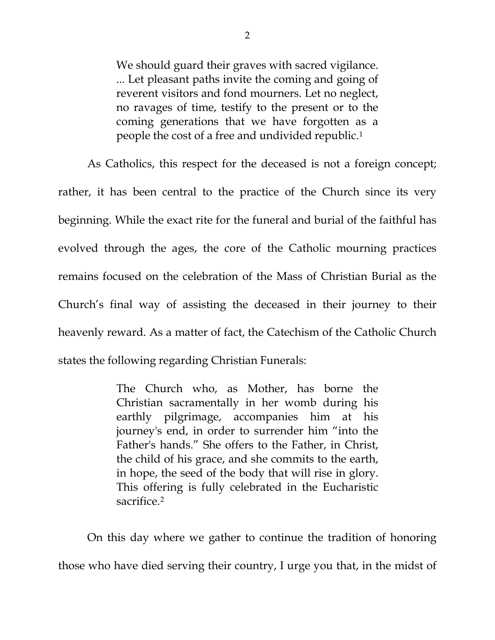We should guard their graves with sacred vigilance. ... Let pleasant paths invite the coming and going of reverent visitors and fond mourners. Let no neglect, no ravages of time, testify to the present or to the coming generations that we have forgotten as a people the cost of a free and undivided republic[.1](#page-3-0)

As Catholics, this respect for the deceased is not a foreign concept; rather, it has been central to the practice of the Church since its very beginning. While the exact rite for the funeral and burial of the faithful has evolved through the ages, the core of the Catholic mourning practices remains focused on the celebration of the Mass of Christian Burial as the Church's final way of assisting the deceased in their journey to their heavenly reward. As a matter of fact, the Catechism of the Catholic Church states the following regarding Christian Funerals:

> The Church who, as Mother, has borne the Christian sacramentally in her womb during his earthly pilgrimage, accompanies him at his journey's end, in order to surrender him "into the Father's hands." She offers to the Father, in Christ, the child of his grace, and she commits to the earth, in hope, the seed of the body that will rise in glory. This offering is fully celebrated in the Eucharistic sacrifice[.2](#page-3-1)

On this day where we gather to continue the tradition of honoring those who have died serving their country, I urge you that, in the midst of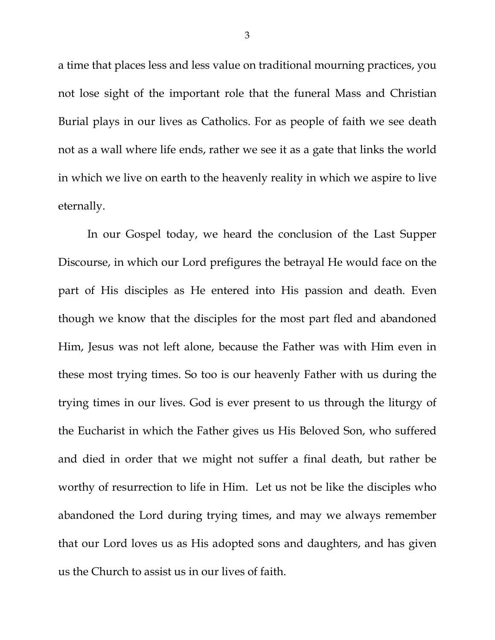a time that places less and less value on traditional mourning practices, you not lose sight of the important role that the funeral Mass and Christian Burial plays in our lives as Catholics. For as people of faith we see death not as a wall where life ends, rather we see it as a gate that links the world in which we live on earth to the heavenly reality in which we aspire to live eternally.

In our Gospel today, we heard the conclusion of the Last Supper Discourse, in which our Lord prefigures the betrayal He would face on the part of His disciples as He entered into His passion and death. Even though we know that the disciples for the most part fled and abandoned Him, Jesus was not left alone, because the Father was with Him even in these most trying times. So too is our heavenly Father with us during the trying times in our lives. God is ever present to us through the liturgy of the Eucharist in which the Father gives us His Beloved Son, who suffered and died in order that we might not suffer a final death, but rather be worthy of resurrection to life in Him. Let us not be like the disciples who abandoned the Lord during trying times, and may we always remember that our Lord loves us as His adopted sons and daughters, and has given us the Church to assist us in our lives of faith.